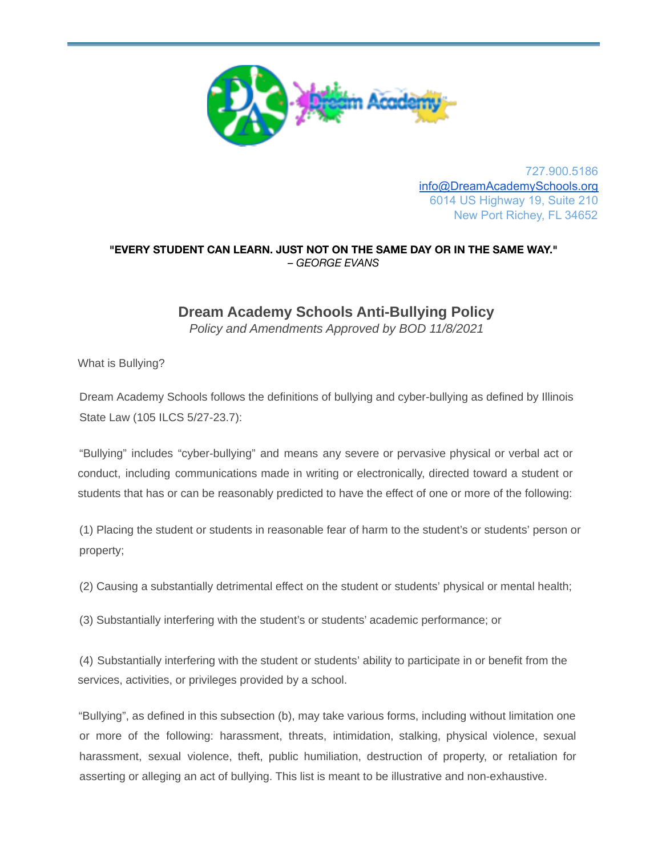

727.900.5186 [info@DreamAcademySchools.org](mailto:info@DreamAcademySchools.org) 6014 US Highway 19, Suite 210 New Port Richey, FL 34652

## **"EVERY STUDENT CAN LEARN. JUST NOT ON THE SAME DAY OR IN THE SAME WAY."** *– GEORGE EVANS*

## **Dream Academy Schools Anti-Bullying Policy**

*Policy and Amendments Approved by BOD 11/8/2021*

What is Bullying?

Dream Academy Schools follows the definitions of bullying and cyber-bullying as defined by Illinois State Law (105 ILCS 5/27-23.7):

"Bullying" includes "cyber-bullying" and means any severe or pervasive physical or verbal act or conduct, including communications made in writing or electronically, directed toward a student or students that has or can be reasonably predicted to have the effect of one or more of the following:

(1) Placing the student or students in reasonable fear of harm to the student's or students' person or property;

(2) Causing a substantially detrimental effect on the student or students' physical or mental health;

(3) Substantially interfering with the student's or students' academic performance; or

(4) Substantially interfering with the student or students' ability to participate in or benefit from the services, activities, or privileges provided by a school.

"Bullying", as defined in this subsection (b), may take various forms, including without limitation one or more of the following: harassment, threats, intimidation, stalking, physical violence, sexual harassment, sexual violence, theft, public humiliation, destruction of property, or retaliation for asserting or alleging an act of bullying. This list is meant to be illustrative and non-exhaustive.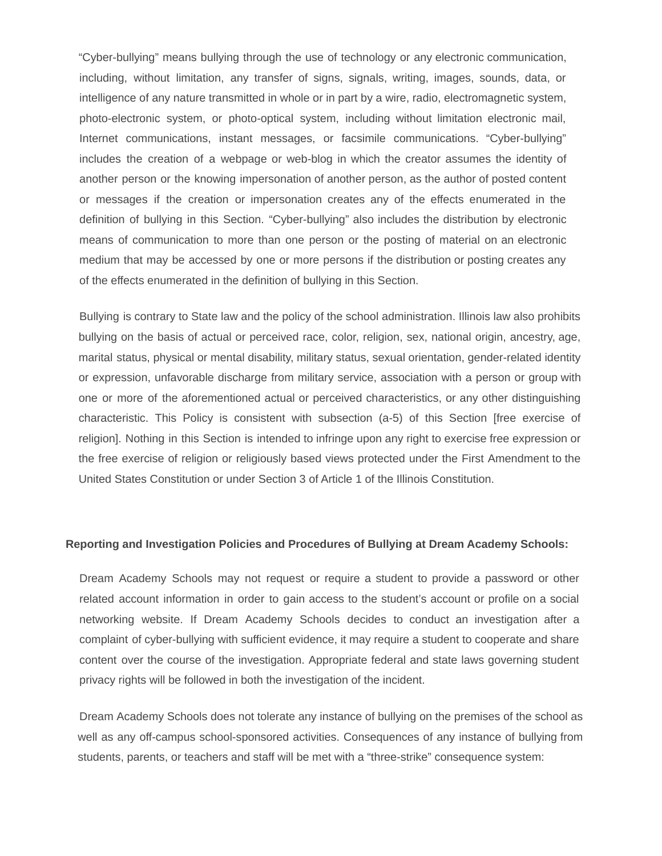"Cyber-bullying" means bullying through the use of technology or any electronic communication, including, without limitation, any transfer of signs, signals, writing, images, sounds, data, or intelligence of any nature transmitted in whole or in part by a wire, radio, electromagnetic system, photo-electronic system, or photo-optical system, including without limitation electronic mail, Internet communications, instant messages, or facsimile communications. "Cyber-bullying" includes the creation of a webpage or web-blog in which the creator assumes the identity of another person or the knowing impersonation of another person, as the author of posted content or messages if the creation or impersonation creates any of the effects enumerated in the definition of bullying in this Section. "Cyber-bullying" also includes the distribution by electronic means of communication to more than one person or the posting of material on an electronic medium that may be accessed by one or more persons if the distribution or posting creates any of the effects enumerated in the definition of bullying in this Section.

Bullying is contrary to State law and the policy of the school administration. Illinois law also prohibits bullying on the basis of actual or perceived race, color, religion, sex, national origin, ancestry, age, marital status, physical or mental disability, military status, sexual orientation, gender-related identity or expression, unfavorable discharge from military service, association with a person or group with one or more of the aforementioned actual or perceived characteristics, or any other distinguishing characteristic. This Policy is consistent with subsection (a-5) of this Section [free exercise of religion]. Nothing in this Section is intended to infringe upon any right to exercise free expression or the free exercise of religion or religiously based views protected under the First Amendment to the United States Constitution or under Section 3 of Article 1 of the Illinois Constitution.

## **Reporting and Investigation Policies and Procedures of Bullying at Dream Academy Schools:**

Dream Academy Schools may not request or require a student to provide a password or other related account information in order to gain access to the student's account or profile on a social networking website. If Dream Academy Schools decides to conduct an investigation after a complaint of cyber-bullying with sufficient evidence, it may require a student to cooperate and share content over the course of the investigation. Appropriate federal and state laws governing student privacy rights will be followed in both the investigation of the incident.

Dream Academy Schools does not tolerate any instance of bullying on the premises of the school as well as any off-campus school-sponsored activities. Consequences of any instance of bullying from students, parents, or teachers and staff will be met with a "three-strike" consequence system: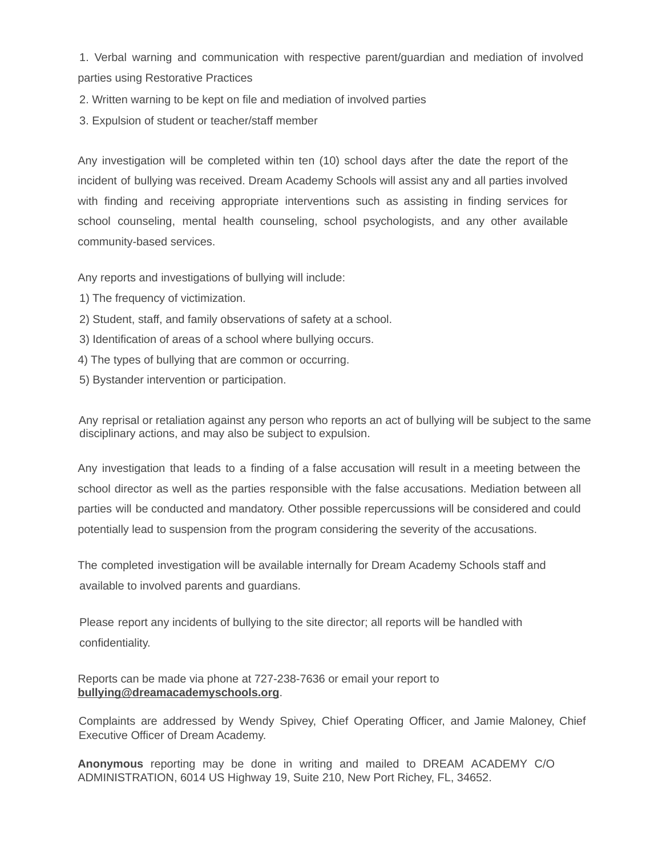1. Verbal warning and communication with respective parent/guardian and mediation of involved parties using Restorative Practices

- 2. Written warning to be kept on file and mediation of involved parties
- 3. Expulsion of student or teacher/staff member

Any investigation will be completed within ten (10) school days after the date the report of the incident of bullying was received. Dream Academy Schools will assist any and all parties involved with finding and receiving appropriate interventions such as assisting in finding services for school counseling, mental health counseling, school psychologists, and any other available community-based services.

Any reports and investigations of bullying will include:

- 1) The frequency of victimization.
- 2) Student, staff, and family observations of safety at a school.
- 3) Identification of areas of a school where bullying occurs.
- 4) The types of bullying that are common or occurring.
- 5) Bystander intervention or participation.

Any reprisal or retaliation against any person who reports an act of bullying will be subject to the same disciplinary actions, and may also be subject to expulsion.

Any investigation that leads to a finding of a false accusation will result in a meeting between the school director as well as the parties responsible with the false accusations. Mediation between all parties will be conducted and mandatory. Other possible repercussions will be considered and could potentially lead to suspension from the program considering the severity of the accusations.

The completed investigation will be available internally for Dream Academy Schools staff and available to involved parents and guardians.

Please report any incidents of bullying to the site director; all reports will be handled with confidentiality.

Reports can be made via phone at 727-238-7636 or email your report to **bullying@dreamacademyschools.org**.

Complaints are addressed by Wendy Spivey, Chief Operating Officer, and Jamie Maloney, Chief Executive Officer of Dream Academy.

**Anonymous** reporting may be done in writing and mailed to DREAM ACADEMY C/O ADMINISTRATION, 6014 US Highway 19, Suite 210, New Port Richey, FL, 34652.